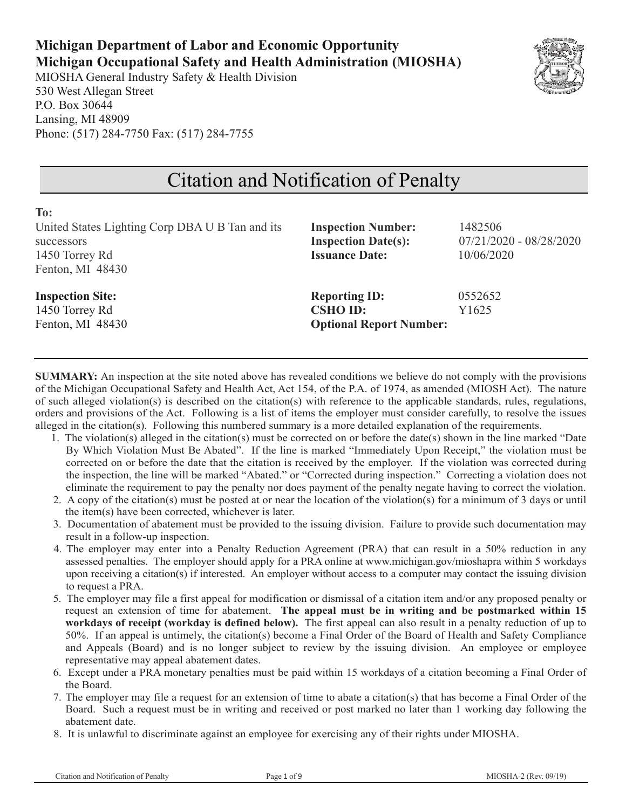## **Michigan Department of Labor and Economic Opportunity Michigan Occupational Safety and Health Administration (MIOSHA)**

MIOSHA General Industry Safety & Health Division 530 West Allegan Street P.O. Box 30644 Lansing, MI 48909 Phone: (517) 284-7750 Fax: (517) 284-7755



# Citation and Notification of Penalty

| To:                                             |                                |                           |
|-------------------------------------------------|--------------------------------|---------------------------|
| United States Lighting Corp DBA U B Tan and its | <b>Inspection Number:</b>      | 1482506                   |
| successors                                      | <b>Inspection Date(s):</b>     | $07/21/2020 - 08/28/2020$ |
| 1450 Torrey Rd                                  | <b>Issuance Date:</b>          | 10/06/2020                |
| Fenton, MI 48430                                |                                |                           |
| <b>Inspection Site:</b>                         | <b>Reporting ID:</b>           | 0552652                   |
| 1450 Torrey Rd                                  | <b>CSHO ID:</b>                | Y1625                     |
| Fenton, MI 48430                                | <b>Optional Report Number:</b> |                           |
|                                                 |                                |                           |

**SUMMARY:** An inspection at the site noted above has revealed conditions we believe do not comply with the provisions of the Michigan Occupational Safety and Health Act, Act 154, of the P.A. of 1974, as amended (MIOSH Act). The nature of such alleged violation(s) is described on the citation(s) with reference to the applicable standards, rules, regulations, orders and provisions of the Act. Following is a list of items the employer must consider carefully, to resolve the issues alleged in the citation(s). Following this numbered summary is a more detailed explanation of the requirements.

- 1. The violation(s) alleged in the citation(s) must be corrected on or before the date(s) shown in the line marked "Date By Which Violation Must Be Abated". If the line is marked "Immediately Upon Receipt," the violation must be corrected on or before the date that the citation is received by the employer. If the violation was corrected during the inspection, the line will be marked "Abated." or "Corrected during inspection." Correcting a violation does not eliminate the requirement to pay the penalty nor does payment of the penalty negate having to correct the violation.
- 2. A copy of the citation(s) must be posted at or near the location of the violation(s) for a minimum of 3 days or until the item(s) have been corrected, whichever is later.
- 3. Documentation of abatement must be provided to the issuing division. Failure to provide such documentation may result in a follow-up inspection.
- 4. The employer may enter into a Penalty Reduction Agreement (PRA) that can result in a 50% reduction in any assessed penalties. The employer should apply for a PRA online at www.michigan.gov/mioshapra within 5 workdays upon receiving a citation(s) if interested. An employer without access to a computer may contact the issuing division to request a PRA.
- 5. The employer may file a first appeal for modification or dismissal of a citation item and/or any proposed penalty or request an extension of time for abatement. **The appeal must be in writing and be postmarked within 15 workdays of receipt (workday is defined below).** The first appeal can also result in a penalty reduction of up to 50%. If an appeal is untimely, the citation(s) become a Final Order of the Board of Health and Safety Compliance and Appeals (Board) and is no longer subject to review by the issuing division. An employee or employee representative may appeal abatement dates.
- 6. Except under a PRA monetary penalties must be paid within 15 workdays of a citation becoming a Final Order of the Board.
- 7. The employer may file a request for an extension of time to abate a citation(s) that has become a Final Order of the Board. Such a request must be in writing and received or post marked no later than 1 working day following the abatement date.
- 8. It is unlawful to discriminate against an employee for exercising any of their rights under MIOSHA.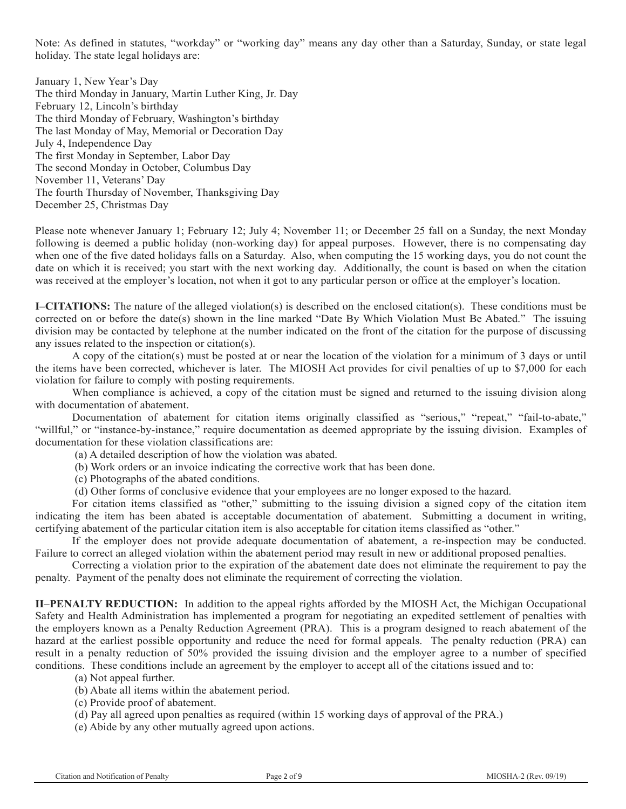Note: As defined in statutes, "workday" or "working day" means any day other than a Saturday, Sunday, or state legal holiday. The state legal holidays are:

January 1, New Year's Day The third Monday in January, Martin Luther King, Jr. Day February 12, Lincoln's birthday The third Monday of February, Washington's birthday The last Monday of May, Memorial or Decoration Day July 4, Independence Day The first Monday in September, Labor Day The second Monday in October, Columbus Day November 11, Veterans' Day The fourth Thursday of November, Thanksgiving Day December 25, Christmas Day

Please note whenever January 1; February 12; July 4; November 11; or December 25 fall on a Sunday, the next Monday following is deemed a public holiday (non-working day) for appeal purposes. However, there is no compensating day when one of the five dated holidays falls on a Saturday. Also, when computing the 15 working days, you do not count the date on which it is received; you start with the next working day. Additionally, the count is based on when the citation was received at the employer's location, not when it got to any particular person or office at the employer's location.

**I–CITATIONS:** The nature of the alleged violation(s) is described on the enclosed citation(s). These conditions must be corrected on or before the date(s) shown in the line marked "Date By Which Violation Must Be Abated." The issuing division may be contacted by telephone at the number indicated on the front of the citation for the purpose of discussing any issues related to the inspection or citation(s).

A copy of the citation(s) must be posted at or near the location of the violation for a minimum of 3 days or until the items have been corrected, whichever is later. The MIOSH Act provides for civil penalties of up to \$7,000 for each violation for failure to comply with posting requirements.

When compliance is achieved, a copy of the citation must be signed and returned to the issuing division along with documentation of abatement.

Documentation of abatement for citation items originally classified as "serious," "repeat," "fail-to-abate," "willful," or "instance-by-instance," require documentation as deemed appropriate by the issuing division. Examples of documentation for these violation classifications are:

(a) A detailed description of how the violation was abated.

(b) Work orders or an invoice indicating the corrective work that has been done.

(c) Photographs of the abated conditions.

(d) Other forms of conclusive evidence that your employees are no longer exposed to the hazard.

For citation items classified as "other," submitting to the issuing division a signed copy of the citation item indicating the item has been abated is acceptable documentation of abatement. Submitting a document in writing, certifying abatement of the particular citation item is also acceptable for citation items classified as "other."

If the employer does not provide adequate documentation of abatement, a re-inspection may be conducted. Failure to correct an alleged violation within the abatement period may result in new or additional proposed penalties.

Correcting a violation prior to the expiration of the abatement date does not eliminate the requirement to pay the penalty. Payment of the penalty does not eliminate the requirement of correcting the violation.

**II–PENALTY REDUCTION:** In addition to the appeal rights afforded by the MIOSH Act, the Michigan Occupational Safety and Health Administration has implemented a program for negotiating an expedited settlement of penalties with the employers known as a Penalty Reduction Agreement (PRA). This is a program designed to reach abatement of the hazard at the earliest possible opportunity and reduce the need for formal appeals. The penalty reduction (PRA) can result in a penalty reduction of 50% provided the issuing division and the employer agree to a number of specified conditions. These conditions include an agreement by the employer to accept all of the citations issued and to:

(a) Not appeal further.

- (b) Abate all items within the abatement period.
- (c) Provide proof of abatement.
- (d) Pay all agreed upon penalties as required (within 15 working days of approval of the PRA.)
- (e) Abide by any other mutually agreed upon actions.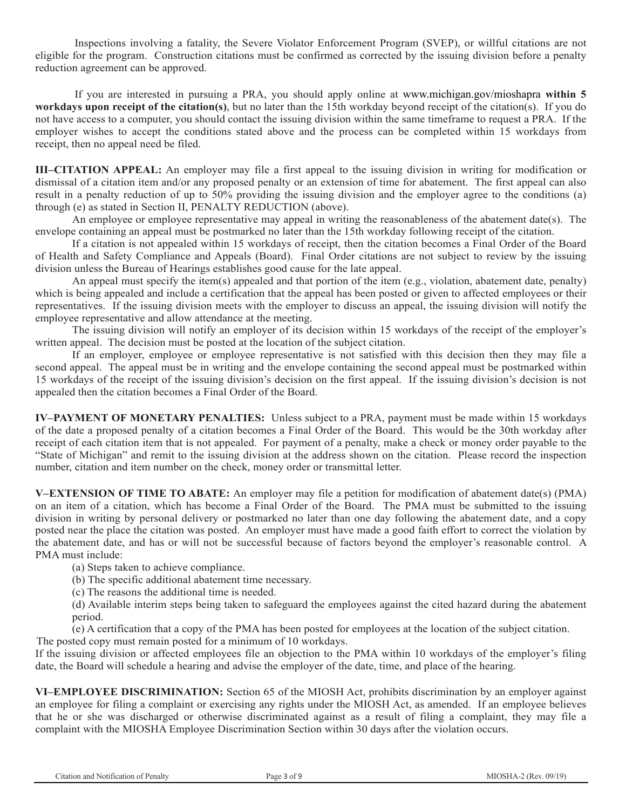Inspections involving a fatality, the Severe Violator Enforcement Program (SVEP), or willful citations are not eligible for the program. Construction citations must be confirmed as corrected by the issuing division before a penalty reduction agreement can be approved.

If you are interested in pursuing a PRA, you should apply online at www.michigan.gov/mioshapra **within 5 workdays upon receipt of the citation(s)**, but no later than the 15th workday beyond receipt of the citation(s). If you do not have access to a computer, you should contact the issuing division within the same timeframe to request a PRA. If the employer wishes to accept the conditions stated above and the process can be completed within 15 workdays from receipt, then no appeal need be filed.

**III–CITATION APPEAL:** An employer may file a first appeal to the issuing division in writing for modification or dismissal of a citation item and/or any proposed penalty or an extension of time for abatement. The first appeal can also result in a penalty reduction of up to 50% providing the issuing division and the employer agree to the conditions (a) through (e) as stated in Section II, PENALTY REDUCTION (above).

An employee or employee representative may appeal in writing the reasonableness of the abatement date(s). The envelope containing an appeal must be postmarked no later than the 15th workday following receipt of the citation.

If a citation is not appealed within 15 workdays of receipt, then the citation becomes a Final Order of the Board of Health and Safety Compliance and Appeals (Board). Final Order citations are not subject to review by the issuing division unless the Bureau of Hearings establishes good cause for the late appeal.

An appeal must specify the item(s) appealed and that portion of the item (e.g., violation, abatement date, penalty) which is being appealed and include a certification that the appeal has been posted or given to affected employees or their representatives. If the issuing division meets with the employer to discuss an appeal, the issuing division will notify the employee representative and allow attendance at the meeting.

The issuing division will notify an employer of its decision within 15 workdays of the receipt of the employer's written appeal. The decision must be posted at the location of the subject citation.

If an employer, employee or employee representative is not satisfied with this decision then they may file a second appeal. The appeal must be in writing and the envelope containing the second appeal must be postmarked within 15 workdays of the receipt of the issuing division's decision on the first appeal. If the issuing division's decision is not appealed then the citation becomes a Final Order of the Board.

**IV–PAYMENT OF MONETARY PENALTIES:** Unless subject to a PRA, payment must be made within 15 workdays of the date a proposed penalty of a citation becomes a Final Order of the Board. This would be the 30th workday after receipt of each citation item that is not appealed. For payment of a penalty, make a check or money order payable to the "State of Michigan" and remit to the issuing division at the address shown on the citation. Please record the inspection number, citation and item number on the check, money order or transmittal letter.

**V–EXTENSION OF TIME TO ABATE:** An employer may file a petition for modification of abatement date(s) (PMA) on an item of a citation, which has become a Final Order of the Board. The PMA must be submitted to the issuing division in writing by personal delivery or postmarked no later than one day following the abatement date, and a copy posted near the place the citation was posted. An employer must have made a good faith effort to correct the violation by the abatement date, and has or will not be successful because of factors beyond the employer's reasonable control. A PMA must include:

(a) Steps taken to achieve compliance.

(b) The specific additional abatement time necessary.

(c) The reasons the additional time is needed.

(d) Available interim steps being taken to safeguard the employees against the cited hazard during the abatement period.

(e) A certification that a copy of the PMA has been posted for employees at the location of the subject citation. The posted copy must remain posted for a minimum of 10 workdays.

If the issuing division or affected employees file an objection to the PMA within 10 workdays of the employer's filing date, the Board will schedule a hearing and advise the employer of the date, time, and place of the hearing.

**VI–EMPLOYEE DISCRIMINATION:** Section 65 of the MIOSH Act, prohibits discrimination by an employer against an employee for filing a complaint or exercising any rights under the MIOSH Act, as amended. If an employee believes that he or she was discharged or otherwise discriminated against as a result of filing a complaint, they may file a complaint with the MIOSHA Employee Discrimination Section within 30 days after the violation occurs.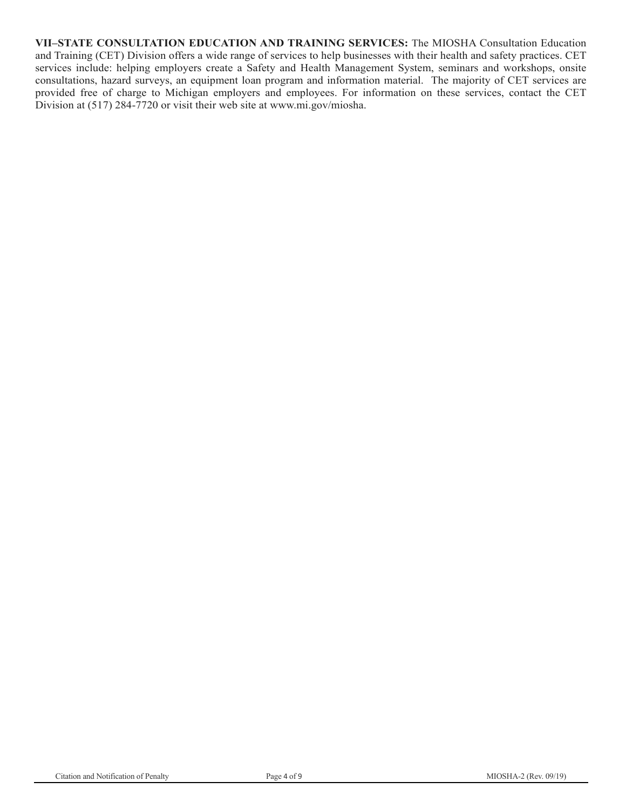**VII–STATE CONSULTATION EDUCATION AND TRAINING SERVICES:** The MIOSHA Consultation Education and Training (CET) Division offers a wide range of services to help businesses with their health and safety practices. CET services include: helping employers create a Safety and Health Management System, seminars and workshops, onsite consultations, hazard surveys, an equipment loan program and information material. The majority of CET services are provided free of charge to Michigan employers and employees. For information on these services, contact the CET Division at (517) 284-7720 or visit their web site at www.mi.gov/miosha.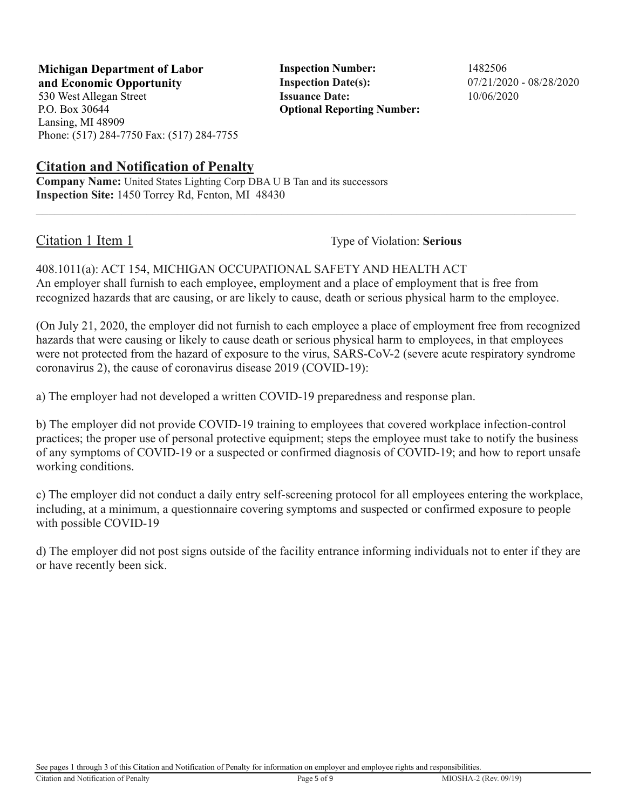**Michigan Department of Labor Inspection Number:** 1482506 **and Economic Opportunity Inspection Date(s):** 07/21/2020 - 08/28/2020

530 West Allegan Street **Issuance Date:** 10/06/2020 P.O. Box 30644 Lansing, MI 48909 Phone: (517) 284-7750 Fax: (517) 284-7755

**Citation and Notification of Penalty**

**Company Name:** United States Lighting Corp DBA U B Tan and its successors **Inspection Site:** 1450 Torrey Rd, Fenton, MI 48430

**Optional Reporting Number:** 

Citation 1 Item 1 Type of Violation: **Serious** 

408.1011(a): ACT 154, MICHIGAN OCCUPATIONAL SAFETY AND HEALTH ACT An employer shall furnish to each employee, employment and a place of employment that is free from recognized hazards that are causing, or are likely to cause, death or serious physical harm to the employee.

(On July 21, 2020, the employer did not furnish to each employee a place of employment free from recognized hazards that were causing or likely to cause death or serious physical harm to employees, in that employees were not protected from the hazard of exposure to the virus, SARS-CoV-2 (severe acute respiratory syndrome coronavirus 2), the cause of coronavirus disease 2019 (COVID-19):

a) The employer had not developed a written COVID-19 preparedness and response plan.

b) The employer did not provide COVID-19 training to employees that covered workplace infection-control practices; the proper use of personal protective equipment; steps the employee must take to notify the business of any symptoms of COVID-19 or a suspected or confirmed diagnosis of COVID-19; and how to report unsafe working conditions.

c) The employer did not conduct a daily entry self-screening protocol for all employees entering the workplace, including, at a minimum, a questionnaire covering symptoms and suspected or confirmed exposure to people with possible COVID-19

d) The employer did not post signs outside of the facility entrance informing individuals not to enter if they are or have recently been sick.

See pages 1 through 3 of this Citation and Notification of Penalty for information on employer and employee rights and responsibilities.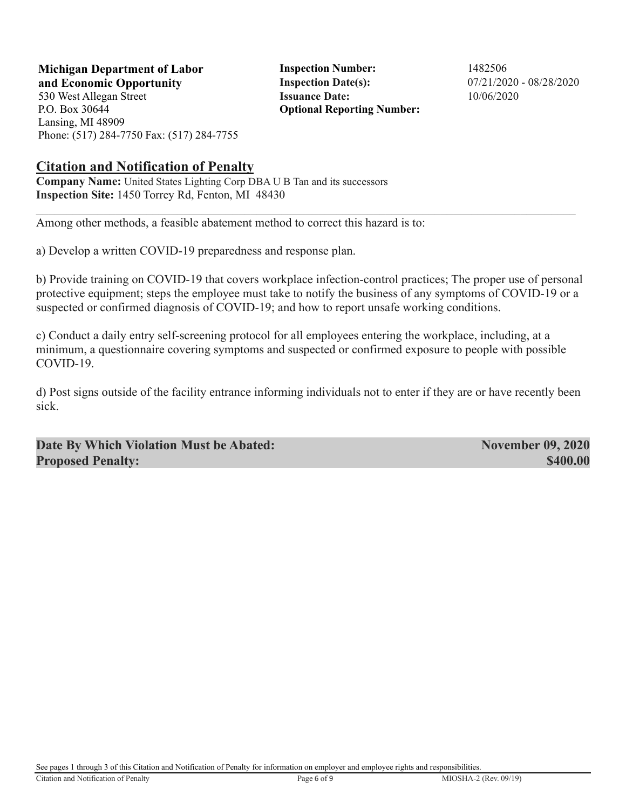**Michigan Department of Labor Inspection Number:** 1482506 **and Economic Opportunity Inspection Date(s):** 07/21/2020 - 08/28/2020

530 West Allegan Street **Issuance Date:** 10/06/2020 P.O. Box 30644 Lansing, MI 48909 Phone: (517) 284-7750 Fax: (517) 284-7755

**Optional Reporting Number:** 

#### **Citation and Notification of Penalty**

**Company Name:** United States Lighting Corp DBA U B Tan and its successors **Inspection Site:** 1450 Torrey Rd, Fenton, MI 48430

Among other methods, a feasible abatement method to correct this hazard is to:

a) Develop a written COVID-19 preparedness and response plan.

b) Provide training on COVID-19 that covers workplace infection-control practices; The proper use of personal protective equipment; steps the employee must take to notify the business of any symptoms of COVID-19 or a suspected or confirmed diagnosis of COVID-19; and how to report unsafe working conditions.

c) Conduct a daily entry self-screening protocol for all employees entering the workplace, including, at a minimum, a questionnaire covering symptoms and suspected or confirmed exposure to people with possible COVID-19.

d) Post signs outside of the facility entrance informing individuals not to enter if they are or have recently been sick.

**Date By Which Violation Must be Abated:** November 09, 2020 **Proposed Penalty:** \$400.00

See pages 1 through 3 of this Citation and Notification of Penalty for information on employer and employee rights and responsibilities.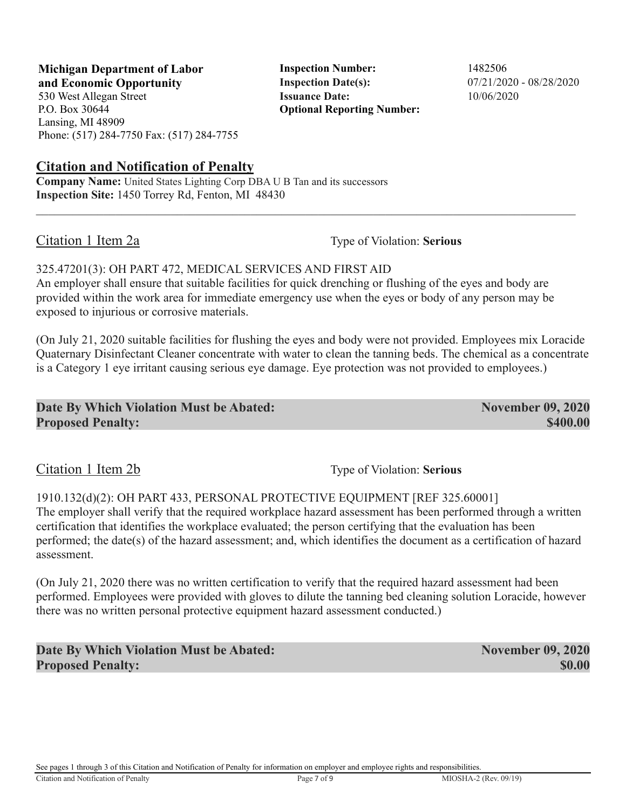See pages 1 through 3 of this Citation and Notification of Penalty for information on employer and employee rights and responsibilities.

### **Michigan Department of Labor Inspection Number:** 1482506 **and Economic Opportunity Inspection Date(s):** 07/21/2020 - 08/28/2020

530 West Allegan Street **Issuance Date:** 10/06/2020 P.O. Box 30644 Lansing, MI 48909 Phone: (517) 284-7750 Fax: (517) 284-7755

## **Citation and Notification of Penalty**

**Company Name:** United States Lighting Corp DBA U B Tan and its successors **Inspection Site:** 1450 Torrey Rd, Fenton, MI 48430

Citation 1 Item 2a Type of Violation: **Serious** 

## 325.47201(3): OH PART 472, MEDICAL SERVICES AND FIRST AID

An employer shall ensure that suitable facilities for quick drenching or flushing of the eyes and body are provided within the work area for immediate emergency use when the eyes or body of any person may be exposed to injurious or corrosive materials.

(On July 21, 2020 suitable facilities for flushing the eyes and body were not provided. Employees mix Loracide Quaternary Disinfectant Cleaner concentrate with water to clean the tanning beds. The chemical as a concentrate is a Category 1 eye irritant causing serious eye damage. Eye protection was not provided to employees.)

**Optional Reporting Number:** 

| Date By Which Violation Must be Abated: | <b>November 09, 2020</b> |
|-----------------------------------------|--------------------------|
| <b>Proposed Penalty:</b>                | \$400.00                 |

Citation 1 Item 2b Type of Violation: **Serious** 

1910.132(d)(2): OH PART 433, PERSONAL PROTECTIVE EQUIPMENT [REF 325.60001] The employer shall verify that the required workplace hazard assessment has been performed through a written certification that identifies the workplace evaluated; the person certifying that the evaluation has been performed; the date(s) of the hazard assessment; and, which identifies the document as a certification of hazard assessment.

(On July 21, 2020 there was no written certification to verify that the required hazard assessment had been performed. Employees were provided with gloves to dilute the tanning bed cleaning solution Loracide, however there was no written personal protective equipment hazard assessment conducted.)

**Date By Which Violation Must be Abated:** November 09, 2020 **Proposed Penalty:** \$0.00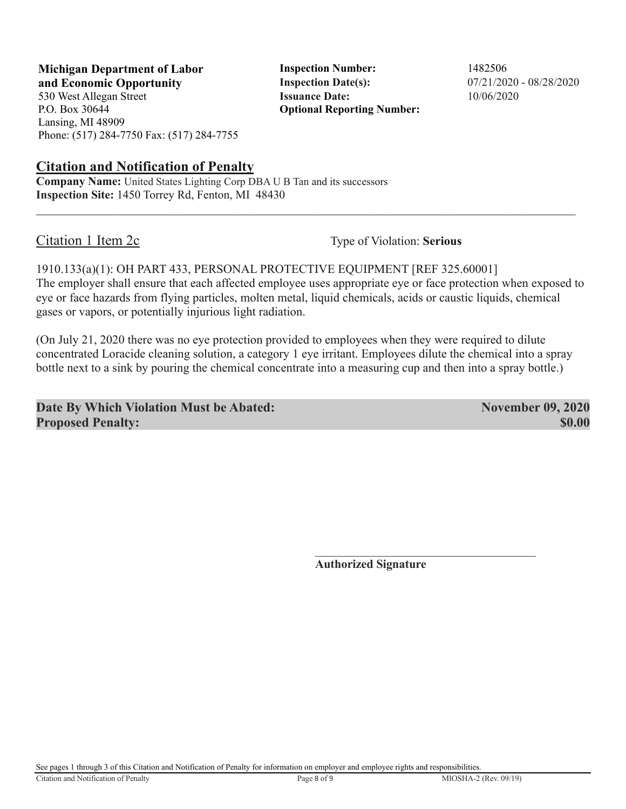**Michigan Department of Labor Inspection Number:** 1482506 **and Economic Opportunity Inspection Date(s):** 07/21/2020 - 08/28/2020

P.O. Box 30644 Lansing, MI 48909 Phone: (517) 284-7750 Fax: (517) 284-7755

### **Citation and Notification of Penalty**

**Company Name:** United States Lighting Corp DBA U B Tan and its successors **Inspection Site:** 1450 Torrey Rd, Fenton, MI 48430

530 West Allegan Street **Issuance Date:** 10/06/2020 **Optional Reporting Number:** 

Citation 1 Item 2c Type of Violation: **Serious** 

1910.133(a)(1): OH PART 433, PERSONAL PROTECTIVE EQUIPMENT [REF 325.60001] The employer shall ensure that each affected employee uses appropriate eye or face protection when exposed to eye or face hazards from flying particles, molten metal, liquid chemicals, acids or caustic liquids, chemical gases or vapors, or potentially injurious light radiation.

(On July 21, 2020 there was no eye protection provided to employees when they were required to dilute concentrated Loracide cleaning solution, a category 1 eye irritant. Employees dilute the chemical into a spray bottle next to a sink by pouring the chemical concentrate into a measuring cup and then into a spray bottle.)

 $\mathcal{L}_\text{max}$  and  $\mathcal{L}_\text{max}$  and  $\mathcal{L}_\text{max}$  and  $\mathcal{L}_\text{max}$  and  $\mathcal{L}_\text{max}$  and  $\mathcal{L}_\text{max}$ 

**Date By Which Violation Must be Abated:** November 09, 2020 **Proposed Penalty:** \$0.00

**Authorized Signature**